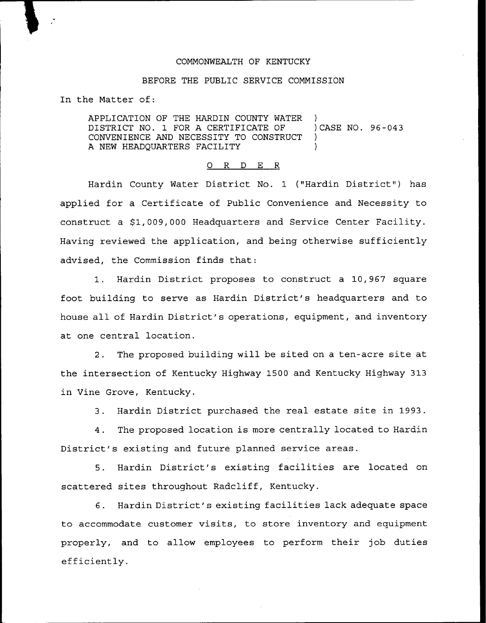## COMMONWEALTH OF KENTUCKY

## BEFORE THE PUBLIC SERVICE COMMISSION

In the Matter of:

APPLICATION OF THE HARDIN COUNTY WATER )<br>DISTRICT NO. 1 FOR A CERTIFICATE OF ) CASE NO. 96-043 DISTRICT NO. 1 FOR A CERTIFICATE OF )<br>CONVENIENCE AND NECESSITY TO CONSTRUCT ) CONVENIENCE AND NECESSITY TO CONSTRUCT ) A NEW HEADQUARTERS FACILITY

## 0 R <sup>D</sup> E R

Hardin County Water District No. 1 ("Hardin District") has applied for a Certificate of Public Convenience and Necessity to construct a \$1,009,000 Headquarters and Service Center Facility. Having reviewed the application, and being otherwise sufficiently advised, the Commission finds that:

1. Hardin District proposes to construct a 10,967 square foot building to serve as Hardin District's headquarters and to house all of Hardin District's operations, equipment, and inventory at one central location.

2. The proposed building will be sited on a ten-acre site at the intersection of Kentucky Highway 1500 and Kentucky Highway 313 in Vine Grove, Kentucky.

3. Hardin District purchased the real estate site in 1993.

4. The proposed location is more centrally located to Hardin District's existing and future planned service areas.

5. Hardin District's existing facilities are located on scattered sites throughout Radcliff, Kentucky.

6. Hardin District's existing facilities lack adequate space to accommodate customer visits, to store inventory and equipment properly, and to allow employees to perform their job duties efficiently.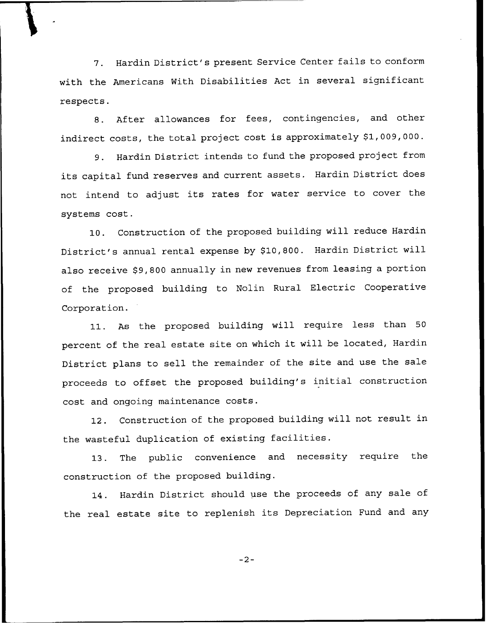7. Hardin District's present Service Center fails to conform with the Americans With Disabilities Act in several significant respects.

8. After allowances for fees, contingencies, and other indirect costs, the total project cost is approximately \$1,009,000.

9. Hardin District intends to fund the proposed project from its capital fund reserves and current assets. Hardin District does not intend to adjust its rates for water service to cover the systems cost.

10. Construction of the proposed building will reduce Hardin District's annual rental expense by \$10,800. Hardin District will also receive \$9,800 annually in new revenues from leasing a portion of the proposed building to Nolin Rural Electric Cooperative Corporation.

11. As the proposed building will require less than <sup>50</sup> percent of the real estate site on which it will be located, Hardin District plans to sell the remainder of the site and use the sale proceeds to offset the proposed building's initial construction cost and ongoing maintenance costs.

12. Construction of the proposed building will not result in the wasteful duplication of existing facilities.

13. The public convenience and necessity require the construction of the proposed building.

14. Hardin District should use the proceeds of any sale of the real estate site to replenish its Depreciation Fund and any

 $-2-$